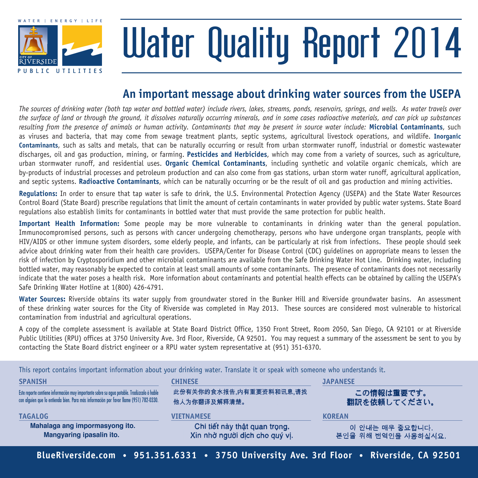

# Water Quality Report 2014

### **An important message about drinking water sources from the USEPA**

*The sources of drinking water (both tap water and bottled water) include rivers, lakes, streams, ponds, reservoirs, springs, and wells. As water travels over the surface of land or through the ground, it dissolves naturally occurring minerals, and in some cases radioactive materials, and can pick up substances*  resulting from the presence of animals or human activity. Contaminants that may be present in source water include: Microbial Contaminants, such as viruses and bacteria, that may come from sewage treatment plants, septic systems, agricultural livestock operations, and wildlife. **Inorganic Contaminants**, such as salts and metals, that can be naturally occurring or result from urban stormwater runoff, industrial or domestic wastewater discharges, oil and gas production, mining, or farming. **Pesticides and Herbicides**, which may come from a variety of sources, such as agriculture, urban stormwater runoff, and residential uses. **Organic Chemical Contaminants**, including synthetic and volatile organic chemicals, which are by-products of industrial processes and petroleum production and can also come from gas stations, urban storm water runoff, agricultural application, and septic systems. **Radioactive Contaminants**, which can be naturally occurring or be the result of oil and gas production and mining activities.

**Regulations:** In order to ensure that tap water is safe to drink, the U.S. Environmental Protection Agency (USEPA) and the State Water Resources Control Board (State Board) prescribe regulations that limit the amount of certain contaminants in water provided by public water systems. State Board regulations also establish limits for contaminants in bottled water that must provide the same protection for public health.

**Important Health Information:** Some people may be more vulnerable to contaminants in drinking water than the general population. Immunocompromised persons, such as persons with cancer undergoing chemotherapy, persons who have undergone organ transplants, people with HIV/AIDS or other immune system disorders, some elderly people, and infants, can be particularly at risk from infections. These people should seek advice about drinking water from their health care providers. USEPA/Center for Disease Control (CDC) guidelines on appropriate means to lessen the risk of infection by Cryptosporidium and other microbial contaminants are available from the Safe Drinking Water Hot Line. Drinking water, including bottled water, may reasonably be expected to contain at least small amounts of some contaminants. The presence of contaminants does not necessarily indicate that the water poses a health risk. More information about contaminants and potential health effects can be obtained by calling the USEPA's Safe Drinking Water Hotline at 1(800) 426-4791.

**Water Sources:** Riverside obtains its water supply from groundwater stored in the Bunker Hill and Riverside groundwater basins. An assessment of these drinking water sources for the City of Riverside was completed in May 2013. These sources are considered most vulnerable to historical contamination from industrial and agricultural operations.

A copy of the complete assessment is available at State Board District Office, 1350 Front Street, Room 2050, San Diego, CA 92101 or at Riverside Public Utilities (RPU) offices at 3750 University Ave. 3rd Floor, Riverside, CA 92501. You may request a summary of the assessment be sent to you by contacting the State Board district engineer or a RPU water system representative at (951) 351-6370.

|                                                                                                                                                                                      | This report contains important information about your drinking water. Translate it or speak with someone who understands it. |                                        |  |  |
|--------------------------------------------------------------------------------------------------------------------------------------------------------------------------------------|------------------------------------------------------------------------------------------------------------------------------|----------------------------------------|--|--|
| <b>SPANISH</b>                                                                                                                                                                       | <b>CHINESE</b>                                                                                                               | <b>JAPANESE</b>                        |  |  |
| Este reporte contiene información muy importante sobre su agua potable. Tradúzcalo ó hable<br>con alquien que lo entienda bien. Para más información por favor llame (951) 782-0330. | 此份有关你的食水报告,内有重要资料和讯息,请找<br>他人为你翻译及解释清楚。                                                                                      | この情報は重要です。<br>翻訳を依頼してください。             |  |  |
| <b>TAGALOG</b>                                                                                                                                                                       | <b>VIETNAMESE</b>                                                                                                            | <b>KOREAN</b>                          |  |  |
| Mahalaga ang impormasyong ito.<br>Mangyaring ipasalin ito.                                                                                                                           | Chi tiết này thật quan trọng.<br>Xin nhờ người dịch cho quý vị.                                                              | 이 안내는 매우 중요합니다.<br>본인을 위해 번역인을 사용하십시요. |  |  |

**BlueRiverside.com • 951.351.6331 • 3750 University Ave. 3rd Floor • Riverside, CA 92501**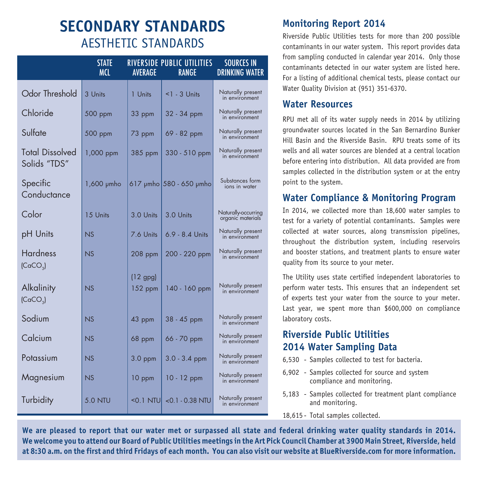## **SECONDARY STANDARDS** AESTHETIC STANDARDS

|                                         | <b>STATE</b><br><b>MCL</b> | AVERAGE               | RIVERSIDE PUBLIC UTILITIES<br><b>RANGE</b> | <b>SOURCES IN</b><br><b>DRINKING WATER</b> |
|-----------------------------------------|----------------------------|-----------------------|--------------------------------------------|--------------------------------------------|
| Odor Threshold                          | 3 Units                    | 1 Units               | $1$ - 3 Units                              | Naturally present<br>in environment        |
| Chloride                                | 500 ppm                    | 33 ppm                | 32 - 34 ppm                                | Naturally present<br>in environment        |
| Sulfate                                 | 500 ppm                    | 73 ppm                | 69 - 82 ppm                                | Naturally present<br>in environment        |
| <b>Total Dissolved</b><br>Solids "TDS"  | 1,000 ppm                  | 385 ppm               | 330 - 510 ppm                              | Naturally present<br>in environment        |
| Specific<br>Conductance                 | 1,600 µmho                 |                       | $617$ µmho $580 - 650$ µmho                | Substances form<br>ions in water           |
| Color                                   | 15 Units                   | 3.0 Units             | 3.0 Units                                  | Naturally-occurring<br>organic materials   |
| pH Units                                | NS                         | 7.6 Units             | $6.9 - 8.4$ Units                          | Naturally present<br>in environment        |
| <b>Hardness</b><br>(CaCO <sub>3</sub> ) | NS                         | $208$ ppm             | 200 - 220 ppm                              | Naturally present<br>in environment        |
| Alkalinity<br>(CaCO <sub>3</sub> )      | NS                         | $(12$ gpg)<br>152 ppm | 140 - 160 ppm                              | Naturally present<br>in environment        |
| Sodium                                  | NS                         | 43 ppm                | 38 - 45 ppm                                | Naturally present<br>in environment        |
| Calcium                                 | NS                         | 68 ppm                | 66 - 70 ppm                                | Naturally present<br>in environment        |
| Potassium                               | NS                         | $3.0$ ppm             | $3.0 - 3.4$ ppm                            | Naturally present<br>in environment        |
| Magnesium                               | NS                         | 10 ppm                | $10 - 12$ ppm                              | Naturally present<br>in environment        |
| Turbidity                               | <b>5.0 NTU</b>             | $<$ 0.1 NTU $\vert$   | $<$ 0.1 - 0.38 NTU                         | Naturally present<br>in environment        |

#### **Monitoring Report 2014**

Riverside Public Utilities tests for more than 200 possible contaminants in our water system. This report provides data from sampling conducted in calendar year 2014. Only those contaminants detected in our water system are listed here. For a listing of additional chemical tests, please contact our Water Quality Division at (951) 351-6370.

#### **Water Resources**

RPU met all of its water supply needs in 2014 by utilizing groundwater sources located in the San Bernardino Bunker Hill Basin and the Riverside Basin. RPU treats some of its wells and all water sources are blended at a central location before entering into distribution. All data provided are from samples collected in the distribution system or at the entry point to the system.

#### **Water Compliance & Monitoring Program**

In 2014, we collected more than 18,600 water samples to test for a variety of potential contaminants. Samples were collected at water sources, along transmission pipelines, throughout the distribution system, including reservoirs and booster stations, and treatment plants to ensure water quality from its source to your meter.

The Utility uses state certified independent laboratories to perform water tests. This ensures that an independent set of experts test your water from the source to your meter. Last year, we spent more than \$600,000 on compliance laboratory costs.

#### **Riverside Public Utilities 2014 Water Sampling Data**

- 6,530 Samples collected to test for bacteria.
- 6,902 Samples collected for source and system compliance and monitoring.
- 5,183 Samples collected for treatment plant compliance and monitoring.
- 18,615 Total samples collected.

**We are pleased to report that our water met or surpassed all state and federal drinking water quality standards in 2014. We welcome you to attend our Board of Public Utilities meetings in the Art Pick Council Chamber at 3900 Main Street, Riverside, held at 8:30 a.m. on the first and third Fridays of each month. You can also visit our website at BlueRiverside.com for more information.**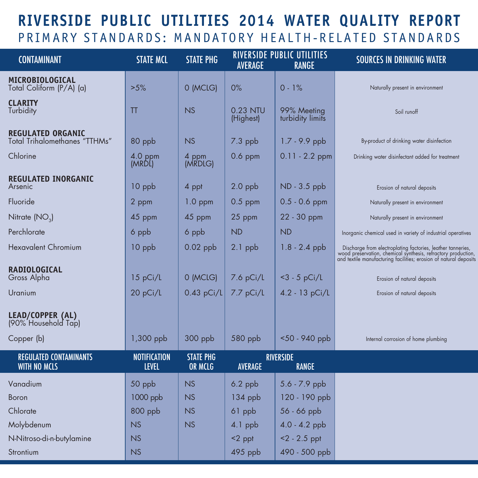## **RIVERSIDE PUBLIC UTILITIES 2014 WATER QUALITY REPORT** PRIMARY STANDARDS: MANDATORY HEALTH-RELATED STANDARDS

| <b>CONTAMINANT</b>                                               | <b>STATE MCL</b>                    | <b>STATE PHG</b>                   | <b>AVERAGE</b>        | <b>RIVERSIDE PUBLIC UTILITIES</b><br><b>RANGE</b> | <b>SOURCES IN DRINKING WATER</b>                                                                                                                                                                                       |
|------------------------------------------------------------------|-------------------------------------|------------------------------------|-----------------------|---------------------------------------------------|------------------------------------------------------------------------------------------------------------------------------------------------------------------------------------------------------------------------|
| MICROBIOLOGICAL<br>Total Coliform (P/A) (a)                      | >5%                                 | 0 (MCLG)                           | 0%                    | $0 - 1%$                                          | Naturally present in environment                                                                                                                                                                                       |
| <b>CLARITY</b><br>Turbidity                                      | TT                                  | <b>NS</b>                          | 0.23 NTU<br>(Highest) | 99% Meeting<br>turbidity limits                   | Soil runoff                                                                                                                                                                                                            |
| <b>REGULATED ORGANIC</b><br><b>Total Trihalomethanes "TTHMs"</b> | 80 ppb                              | <b>NS</b>                          | $7.3$ ppb             | 1.7 - 9.9 ppb                                     | By-product of drinking water disinfection                                                                                                                                                                              |
| Chlorine                                                         | 4.0 ppm<br>(MRDL)                   | 4 ppm<br>(MRDLG)                   | $0.6$ ppm             | $0.11 - 2.2$ ppm                                  | Drinking water disinfectant added for treatment                                                                                                                                                                        |
| <b>REGULATED INORGANIC</b><br>Arsenic                            | 10 ppb                              | 4 ppt                              | $2.0$ ppb             | ND - 3.5 ppb                                      | Erosion of natural deposits                                                                                                                                                                                            |
| Fluoride                                                         | 2 ppm                               | $1.0$ ppm                          | $0.5$ ppm             | $0.5 - 0.6$ ppm                                   | Naturally present in environment                                                                                                                                                                                       |
| Nitrate $(NO3)$                                                  | 45 ppm                              | 45 ppm                             | 25 ppm                | 22 - 30 ppm                                       | Naturally present in environment                                                                                                                                                                                       |
| Perchlorate                                                      | 6 ppb                               | 6 ppb                              | <b>ND</b>             | <b>ND</b>                                         | Inorganic chemical used in variety of industrial operatives                                                                                                                                                            |
| <b>Hexavalent Chromium</b>                                       | 10 ppb                              | $0.02$ ppb                         | 2.1 ppb               | $1.8 - 2.4$ ppb                                   | $\label{thm:main} \text{Discharge from electrophating factories, leather tanneries, wood presentation, chemical synthesis, refractory production, and textile manufacturing facilities; erosion of natural deposits.}$ |
| <b>RADIOLOGICAL</b><br>Gross Alpha                               | 15 pCi/L                            | 0 (MCLG)                           | $7.6$ pCi/L           | $<$ 3 - 5 pCi/L                                   | Erosion of natural deposits                                                                                                                                                                                            |
| Uranium                                                          | 20 pCi/L                            | $0.43$ pCi/L                       | $7.7$ pCi/L           | $4.2 - 13 pCi/L$                                  | Erosion of natural deposits                                                                                                                                                                                            |
| LEAD/COPPER (AL)<br>(90% Household Tap)                          |                                     |                                    |                       |                                                   |                                                                                                                                                                                                                        |
| Copper (b)                                                       | 1,300 ppb                           | $300$ ppb                          | 580 ppb               | $50 - 940$ ppb                                    | Internal corrosion of home plumbing                                                                                                                                                                                    |
| <b>REGULATED CONTAMINANTS</b><br><b>WITH NO MCLS</b>             | <b>NOTIFICATION</b><br><b>LEVEL</b> | <b>STATE PHG</b><br><b>OR MCLG</b> | AVERAGE               | <b>RIVERSIDE</b><br><b>RANGE</b>                  |                                                                                                                                                                                                                        |
| Vanadium                                                         | 50 ppb                              | <b>NS</b>                          | $6.2$ ppb             | 5.6 - 7.9 ppb                                     |                                                                                                                                                                                                                        |
| <b>Boron</b>                                                     | 1000 ppb                            | <b>NS</b>                          | $134$ ppb             | 120 - 190 ppb                                     |                                                                                                                                                                                                                        |
| Chlorate                                                         | 800 ppb                             | <b>NS</b>                          | 61 ppb                | 56 - 66 ppb                                       |                                                                                                                                                                                                                        |
| Molybdenum                                                       | <b>NS</b>                           | <b>NS</b>                          | 4.1 ppb               | 4.0 - 4.2 ppb                                     |                                                                                                                                                                                                                        |
| N-Nitroso-di-n-butylamine                                        | NS                                  |                                    | <2 ppt                | $<$ 2 - 2.5 ppt                                   |                                                                                                                                                                                                                        |
| Strontium                                                        | <b>NS</b>                           |                                    | $495$ ppb             | 490 - 500 ppb                                     |                                                                                                                                                                                                                        |